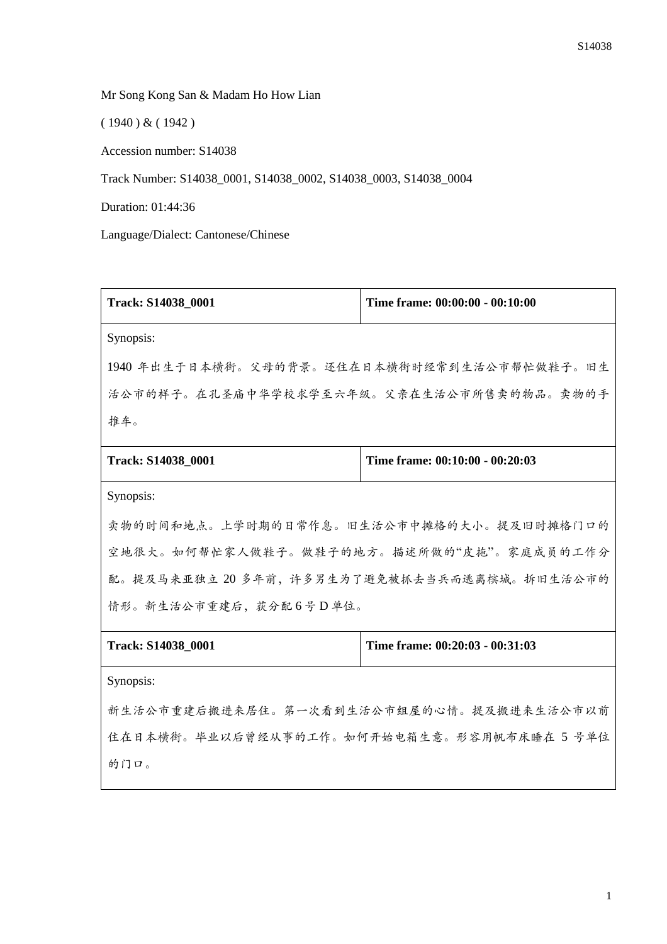Mr Song Kong San & Madam Ho How Lian

( 1940 ) & ( 1942 )

Accession number: S14038

Track Number: S14038\_0001, S14038\_0002, S14038\_0003, S14038\_0004

Duration: 01:44:36

Language/Dialect: Cantonese/Chinese

| Track: S14038_0001                           | Time frame: 00:00:00 - 00:10:00 |
|----------------------------------------------|---------------------------------|
| Synopsis:                                    |                                 |
| 1940年出生于日本横街。父母的背景。还住在日本横街时经常到生活公市帮忙做鞋子。旧生   |                                 |
| 活公市的样子。在孔圣庙中华学校求学至六年级。父亲在生活公市所售卖的物品。卖物的手     |                                 |
| 推车。                                          |                                 |
| Track: S14038_0001                           | Time frame: 00:10:00 - 00:20:03 |
| Synopsis:                                    |                                 |
| 卖物的时间和地点。上学时期的日常作息。旧生活公市中摊格的大小。提及旧时摊格门口的     |                                 |
| 空地很大。如何帮忙家人做鞋子。做鞋子的地方。描述所做的"皮拖"。家庭成员的工作分     |                                 |
| 配。提及马来亚独立 20 多年前, 许多男生为了避免被抓去当兵而逃离槟城。拆旧生活公市的 |                                 |
| 情形。新生活公市重建后,获分配6号D单位。                        |                                 |
| Track: S14038_0001                           | Time frame: 00:20:03 - 00:31:03 |
| Synopsis:                                    |                                 |
| 新生活公市重建后搬进来居住。第一次看到生活公市组屋的心情。提及搬进来生活公市以前     |                                 |
| 住在日本横街。毕业以后曾经从事的工作。如何开始电箱生意。形容用帆布床睡在 5 号单位   |                                 |
| 的门口。                                         |                                 |
|                                              |                                 |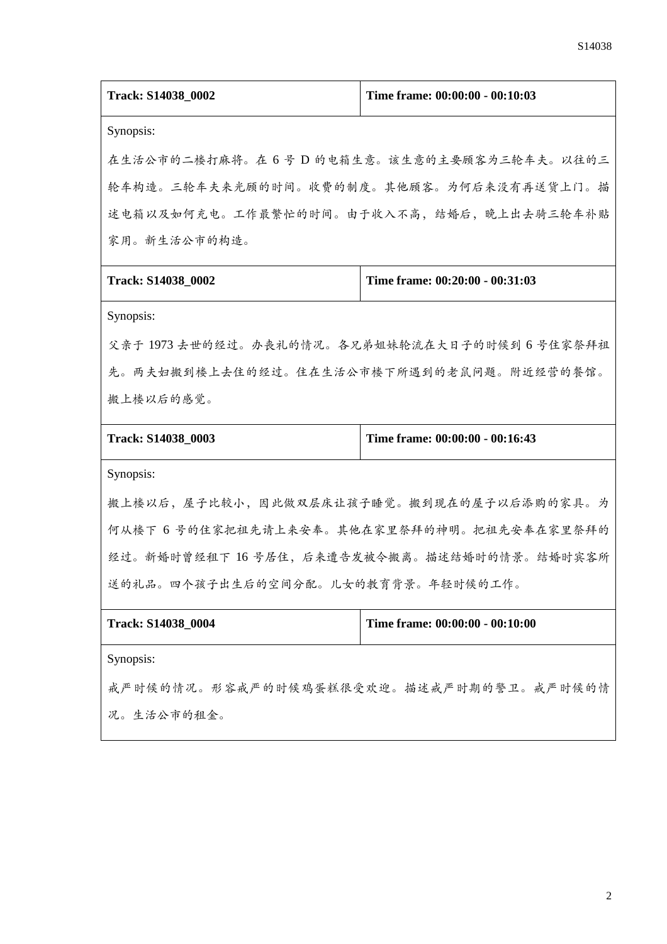| Track: S14038_0002                            | Time frame: 00:00:00 - 00:10:03 |
|-----------------------------------------------|---------------------------------|
| Synopsis:                                     |                                 |
| 在生活公市的二楼打麻将。在 6 号 D 的电箱生意。该生意的主要顾客为三轮车夫。以往的三  |                                 |
| 轮车构造。三轮车夫来光顾的时间。收费的制度。其他顾客。为何后来没有再送货上门。描      |                                 |
| 述电箱以及如何充电。工作最繁忙的时间。由于收入不高,结婚后,晚上出去骑三轮车补贴      |                                 |
| 家用。新生活公市的构造。                                  |                                 |
| Track: S14038_0002                            | Time frame: 00:20:00 - 00:31:03 |
| Synopsis:                                     |                                 |
| 父亲于1973 去世的经过。办丧礼的情况。各兄弟姐妹轮流在大日子的时候到 6 号住家祭拜祖 |                                 |
| 先。两夫妇搬到楼上去住的经过。住在生活公市楼下所遇到的老鼠问题。附近经营的餐馆。      |                                 |
| 搬上楼以后的感觉。                                     |                                 |
| Track: S14038_0003                            | Time frame: 00:00:00 - 00:16:43 |
| Synopsis:                                     |                                 |
| 搬上楼以后,屋子比较小,因此做双层床让孩子睡觉。搬到现在的屋子以后添购的家具。为      |                                 |
| 何从楼下 6 号的住家把祖先请上来安奉。其他在家里祭拜的神明。把祖先安奉在家里祭拜的    |                                 |
| 经过。新婚时曾经租下 16 号居住, 后来遭告发被令搬离。描述结婚时的情景。结婚时宾客所  |                                 |
| 送的礼品。四个孩子出生后的空间分配。儿女的教育背景。年轻时候的工作。            |                                 |
| Track: S14038_0004                            | Time frame: 00:00:00 - 00:10:00 |
| Synopsis:                                     |                                 |
| 戒严时候的情况。形容戒严的时候鸡蛋糕很受欢迎。描述戒严时期的警卫。戒严时候的情       |                                 |
| 况。生活公市的租金。                                    |                                 |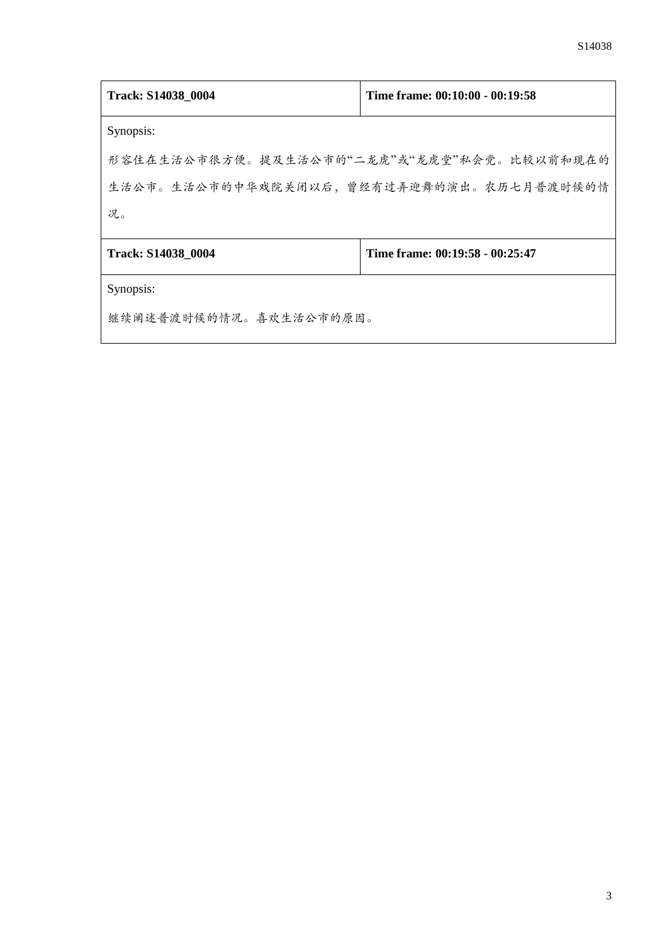| Track: S14038 0004                         | Time frame: 00:10:00 - 00:19:58 |
|--------------------------------------------|---------------------------------|
| Synopsis:                                  |                                 |
| 形容住在生活公市很方便。提及生活公市的"二龙虎"或"龙虎堂"私会党。比较以前和现在的 |                                 |
| 生活公市。生活公市的中华戏院关闭以后,曾经有过弄迎舞的演出。农历七月普渡时候的情   |                                 |
| 况。                                         |                                 |
| Track: S14038 0004                         | Time frame: 00:19:58 - 00:25:47 |
| Synopsis:                                  |                                 |
| 继续阐述普渡时候的情况。喜欢生活公市的原因。                     |                                 |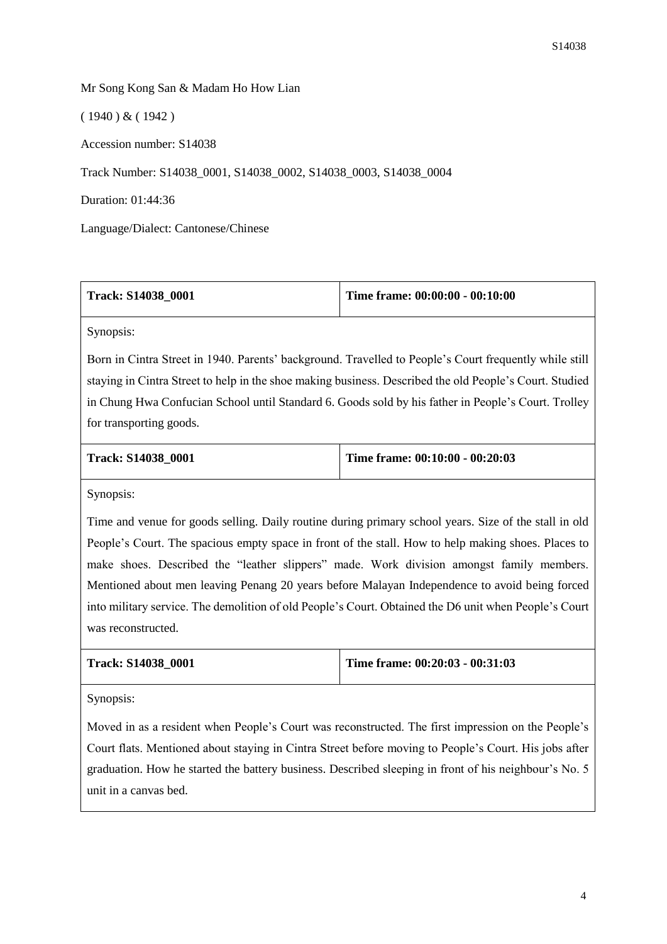## Mr Song Kong San & Madam Ho How Lian

( 1940 ) & ( 1942 )

Accession number: S14038

Track Number: S14038\_0001, S14038\_0002, S14038\_0003, S14038\_0004

Duration: 01:44:36

Language/Dialect: Cantonese/Chinese

| <b>Track: S14038 0001</b> | Time frame: $00:00:00 - 00:10:00$ |
|---------------------------|-----------------------------------|
|                           |                                   |

Synopsis:

Born in Cintra Street in 1940. Parents' background. Travelled to People's Court frequently while still staying in Cintra Street to help in the shoe making business. Described the old People's Court. Studied in Chung Hwa Confucian School until Standard 6. Goods sold by his father in People's Court. Trolley for transporting goods.

| <b>Track: S14038 0001</b> | Time frame: $00:10:00 - 00:20:03$ |
|---------------------------|-----------------------------------|
|                           |                                   |

Synopsis:

Time and venue for goods selling. Daily routine during primary school years. Size of the stall in old People's Court. The spacious empty space in front of the stall. How to help making shoes. Places to make shoes. Described the "leather slippers" made. Work division amongst family members. Mentioned about men leaving Penang 20 years before Malayan Independence to avoid being forced into military service. The demolition of old People's Court. Obtained the D6 unit when People's Court was reconstructed.

| <b>Track: S14038 0001</b> | Time frame: $00:20:03 - 00:31:03$ |
|---------------------------|-----------------------------------|
|                           |                                   |

Synopsis:

Moved in as a resident when People's Court was reconstructed. The first impression on the People's Court flats. Mentioned about staying in Cintra Street before moving to People's Court. His jobs after graduation. How he started the battery business. Described sleeping in front of his neighbour's No. 5 unit in a canvas bed.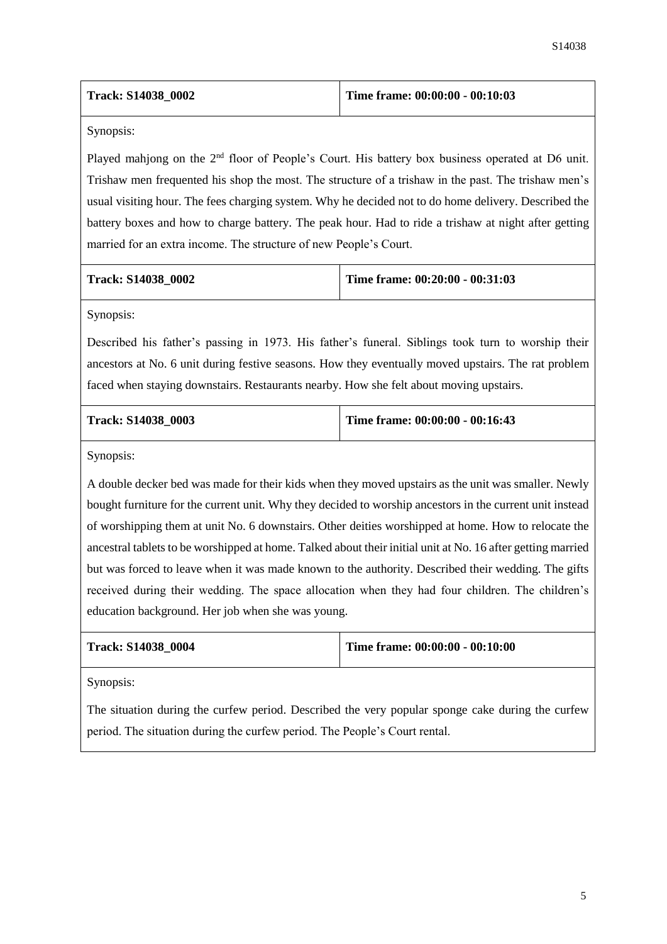| <b>Track: S14038 0002</b> | Time frame: $00:00:00 - 00:10:03$ |
|---------------------------|-----------------------------------|
|---------------------------|-----------------------------------|

Synopsis:

Played mahjong on the 2<sup>nd</sup> floor of People's Court. His battery box business operated at D6 unit. Trishaw men frequented his shop the most. The structure of a trishaw in the past. The trishaw men's usual visiting hour. The fees charging system. Why he decided not to do home delivery. Described the battery boxes and how to charge battery. The peak hour. Had to ride a trishaw at night after getting married for an extra income. The structure of new People's Court.

**Track: S14038\_0002 Time frame: 00:20:00 - 00:31:03**

Synopsis:

Described his father's passing in 1973. His father's funeral. Siblings took turn to worship their ancestors at No. 6 unit during festive seasons. How they eventually moved upstairs. The rat problem faced when staying downstairs. Restaurants nearby. How she felt about moving upstairs.

**Track: S14038\_0003 Time frame: 00:00:00 - 00:16:43**

Synopsis:

A double decker bed was made for their kids when they moved upstairs as the unit was smaller. Newly bought furniture for the current unit. Why they decided to worship ancestors in the current unit instead of worshipping them at unit No. 6 downstairs. Other deities worshipped at home. How to relocate the ancestral tablets to be worshipped at home. Talked about their initial unit at No. 16 after getting married but was forced to leave when it was made known to the authority. Described their wedding. The gifts received during their wedding. The space allocation when they had four children. The children's education background. Her job when she was young.

| <b>Track: S14038 0004</b> | Time frame: $00:00:00 - 00:10:00$ |
|---------------------------|-----------------------------------|
|                           |                                   |

Synopsis:

The situation during the curfew period. Described the very popular sponge cake during the curfew period. The situation during the curfew period. The People's Court rental.